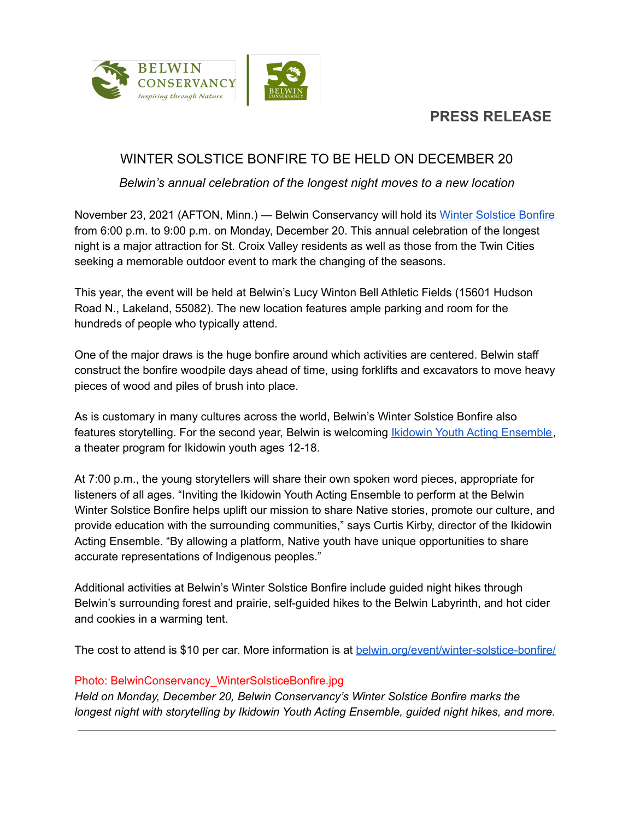

# **PRESS RELEASE**

## WINTER SOLSTICE BONFIRE TO BE HELD ON DECEMBER 20

*Belwin's annual celebration of the longest night moves to a new location*

November 23, 2021 (AFTON, Minn.) — Belwin Conservancy will hold its Winter [Solstice](https://belwin.org/event/winter-solstice-bonfire/) Bonfire from 6:00 p.m. to 9:00 p.m. on Monday, December 20. This annual celebration of the longest night is a major attraction for St. Croix Valley residents as well as those from the Twin Cities seeking a memorable outdoor event to mark the changing of the seasons.

This year, the event will be held at Belwin's Lucy Winton Bell Athletic Fields (15601 Hudson Road N., Lakeland, 55082). The new location features ample parking and room for the hundreds of people who typically attend.

One of the major draws is the huge bonfire around which activities are centered. Belwin staff construct the bonfire woodpile days ahead of time, using forklifts and excavators to move heavy pieces of wood and piles of brush into place.

As is customary in many cultures across the world, Belwin's Winter Solstice Bonfire also features storytelling. For the second year, Belwin is welcoming *Ikidowin Youth Acting [Ensemble](https://www.youtube.com/watch?v=lQg0zCo-xx4)*, a theater program for Ikidowin youth ages 12-18.

At 7:00 p.m., the young storytellers will share their own spoken word pieces, appropriate for listeners of all ages. "Inviting the Ikidowin Youth Acting Ensemble to perform at the Belwin Winter Solstice Bonfire helps uplift our mission to share Native stories, promote our culture, and provide education with the surrounding communities," says Curtis Kirby, director of the Ikidowin Acting Ensemble. "By allowing a platform, Native youth have unique opportunities to share accurate representations of Indigenous peoples."

Additional activities at Belwin's Winter Solstice Bonfire include guided night hikes through Belwin's surrounding forest and prairie, self-guided hikes to the Belwin Labyrinth, and hot cider and cookies in a warming tent.

The cost to attend is \$10 per car. More information is at [belwin.org/event/winter-solstice-bonfire/](https://belwin.org/event/winter-solstice-bonfire/)

#### Photo: BelwinConservancy\_WinterSolsticeBonfire.jpg

*Held on Monday, December 20, Belwin Conservancy's Winter Solstice Bonfire marks the longest night with storytelling by Ikidowin Youth Acting Ensemble, guided night hikes, and more.*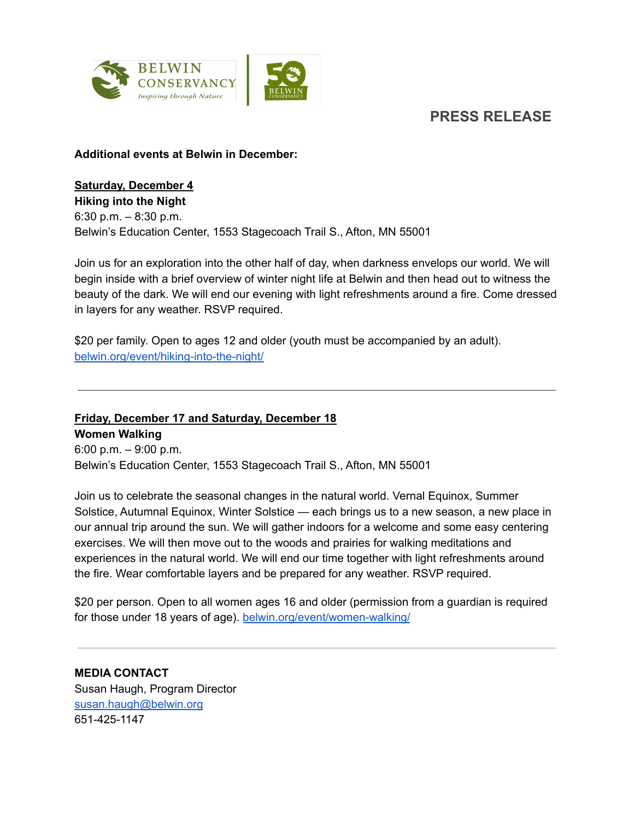**PRESS RELEASE**



#### **Additional events at Belwin in December:**

### **Saturday, December 4**

**Hiking into the Night** 6:30 p.m. – 8:30 p.m. Belwin's Education Center, 1553 Stagecoach Trail S., Afton, MN 55001

Join us for an exploration into the other half of day, when darkness envelops our world. We will begin inside with a brief overview of winter night life at Belwin and then head out to witness the beauty of the dark. We will end our evening with light refreshments around a fire. Come dressed in layers for any weather. RSVP required.

\$20 per family. Open to ages 12 and older (youth must be accompanied by an adult). [belwin.org/event/hiking-into-the-night/](https://belwin.org/event/hiking-into-the-night/)

## **Friday, December 17 and Saturday, December 18 Women Walking** 6:00 p.m. – 9:00 p.m.

Belwin's Education Center, 1553 Stagecoach Trail S., Afton, MN 55001

Join us to celebrate the seasonal changes in the natural world. Vernal Equinox, Summer Solstice, Autumnal Equinox, Winter Solstice — each brings us to a new season, a new place in our annual trip around the sun. We will gather indoors for a welcome and some easy centering exercises. We will then move out to the woods and prairies for walking meditations and experiences in the natural world. We will end our time together with light refreshments around the fire. Wear comfortable layers and be prepared for any weather. RSVP required.

\$20 per person. Open to all women ages 16 and older (permission from a guardian is required for those under 18 years of age). [belwin.org/event/women-walking/](https://belwin.org/event/women-walking/)

**MEDIA CONTACT** Susan Haugh, Program Director [susan.haugh@belwin.org](mailto:susan.haugh@belwin.org) 651-425-1147